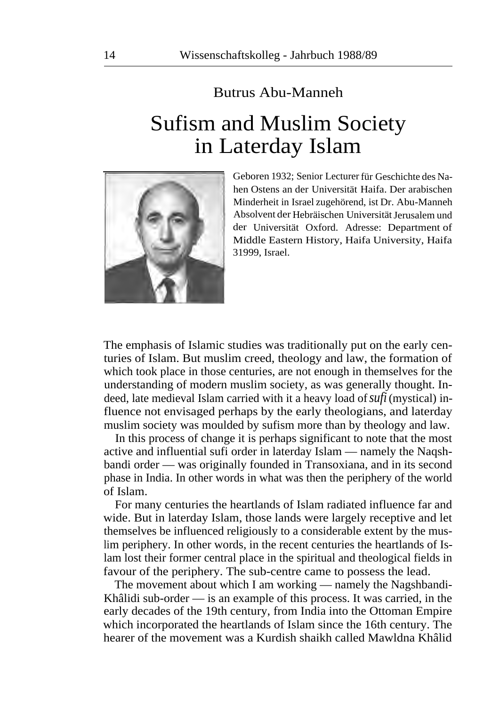## Butrus Abu-Manneh

## Sufism and Muslim Society in Laterday Islam



Geboren 1932; Senior Lecturer für Geschichte des Nahen Ostens an der Universität Haifa. Der arabischen Minderheit in Israel zugehörend, ist Dr. Abu-Manneh Absolvent der Hebräischen Universität Jerusalem und der Universität Oxford. Adresse: Department of Middle Eastern History, Haifa University, Haifa 31999, Israel.

The emphasis of Islamic studies was traditionally put on the early centuries of Islam. But muslim creed, theology and law, the formation of which took place in those centuries, are not enough in themselves for the understanding of modern muslim society, as was generally thought. Indeed, late medieval Islam carried with it a heavy load of *sufi* (mystical) influence not envisaged perhaps by the early theologians, and laterday muslim society was moulded by sufism more than by theology and law.

In this process of change it is perhaps significant to note that the most active and influential sufi order in laterday Islam — namely the Naqshbandi order — was originally founded in Transoxiana, and in its second phase in India. In other words in what was then the periphery of the world of Islam.

For many centuries the heartlands of Islam radiated influence far and wide. But in laterday Islam, those lands were largely receptive and let themselves be influenced religiously to a considerable extent by the muslim periphery. In other words, in the recent centuries the heartlands of Islam lost their former central place in the spiritual and theological fields in favour of the periphery. The sub-centre came to possess the lead.

The movement about which I am working — namely the Nagshbandi-Khâlidi sub-order — is an example of this process. It was carried, in the early decades of the 19th century, from India into the Ottoman Empire which incorporated the heartlands of Islam since the 16th century. The hearer of the movement was a Kurdish shaikh called Mawldna Khâlid